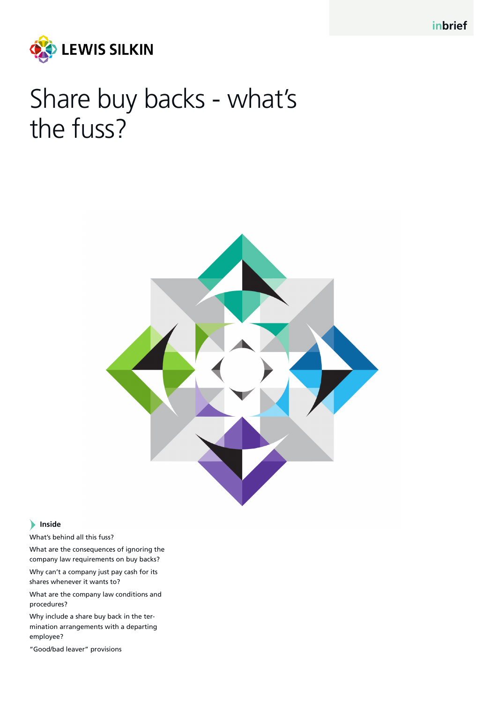

# Share buy backs - what's the fuss?



#### **Inside**

What's behind all this fuss?

What are the consequences of ignoring the company law requirements on buy backs?

Why can't a company just pay cash for its shares whenever it wants to?

What are the company law conditions and procedures?

Why include a share buy back in the termination arrangements with a departing employee?

"Good/bad leaver" provisions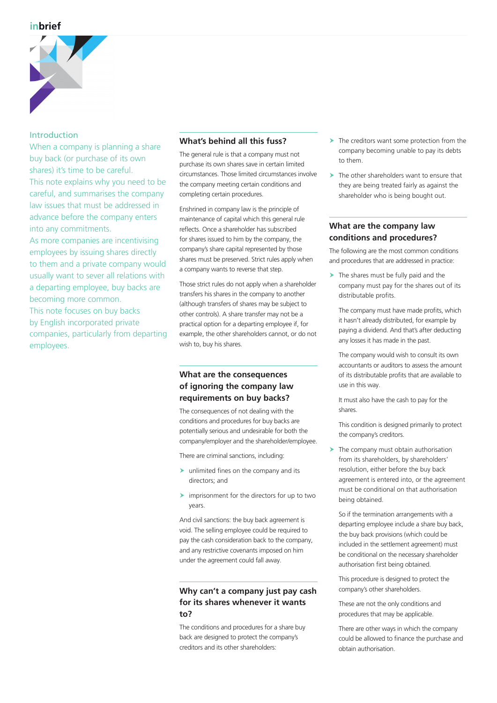

#### Introduction

When a company is planning a share buy back (or purchase of its own shares) it's time to be careful. This note explains why you need to be careful, and summarises the company law issues that must be addressed in advance before the company enters into any commitments.

As more companies are incentivising employees by issuing shares directly to them and a private company would usually want to sever all relations with a departing employee, buy backs are becoming more common.

This note focuses on buy backs by English incorporated private companies, particularly from departing employees.

#### **What's behind all this fuss?**

The general rule is that a company must not purchase its own shares save in certain limited circumstances. Those limited circumstances involve the company meeting certain conditions and completing certain procedures.

Enshrined in company law is the principle of maintenance of capital which this general rule reflects. Once a shareholder has subscribed for shares issued to him by the company, the company's share capital represented by those shares must be preserved. Strict rules apply when a company wants to reverse that step.

Those strict rules do not apply when a shareholder transfers his shares in the company to another (although transfers of shares may be subject to other controls). A share transfer may not be a practical option for a departing employee if, for example, the other shareholders cannot, or do not wish to, buy his shares.

## **What are the consequences of ignoring the company law requirements on buy backs?**

The consequences of not dealing with the conditions and procedures for buy backs are potentially serious and undesirable for both the company/employer and the shareholder/employee.

There are criminal sanctions, including:

- $\blacktriangleright$  unlimited fines on the company and its directors; and
- $\blacktriangleright$  imprisonment for the directors for up to two years.

And civil sanctions: the buy back agreement is void. The selling employee could be required to pay the cash consideration back to the company, and any restrictive covenants imposed on him under the agreement could fall away.

#### **Why can't a company just pay cash for its shares whenever it wants to?**

The conditions and procedures for a share buy back are designed to protect the company's creditors and its other shareholders:

- $\blacktriangleright$  The creditors want some protection from the company becoming unable to pay its debts to them.
- $\blacktriangleright$  The other shareholders want to ensure that they are being treated fairly as against the shareholder who is being bought out.

## **What are the company law conditions and procedures?**

The following are the most common conditions and procedures that are addressed in practice:

 $\blacktriangleright$  The shares must be fully paid and the company must pay for the shares out of its distributable profits.

The company must have made profits, which it hasn't already distributed, for example by paying a dividend. And that's after deducting any losses it has made in the past.

The company would wish to consult its own accountants or auditors to assess the amount of its distributable profits that are available to use in this way.

It must also have the cash to pay for the shares.

This condition is designed primarily to protect the company's creditors.

 $\blacktriangleright$  The company must obtain authorisation from its shareholders, by shareholders' resolution, either before the buy back agreement is entered into, or the agreement must be conditional on that authorisation being obtained.

So if the termination arrangements with a departing employee include a share buy back, the buy back provisions (which could be included in the settlement agreement) must be conditional on the necessary shareholder authorisation first being obtained.

This procedure is designed to protect the company's other shareholders.

These are not the only conditions and procedures that may be applicable.

There are other ways in which the company could be allowed to finance the purchase and obtain authorisation.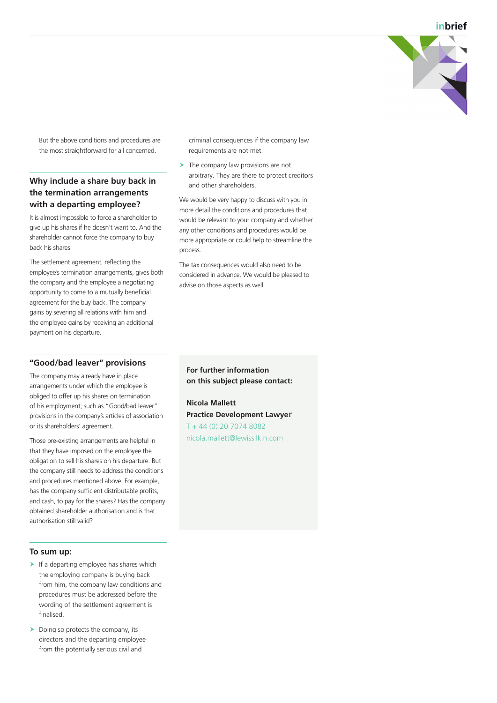**inbrief**



But the above conditions and procedures are the most straightforward for all concerned.

## **Why include a share buy back in the termination arrangements with a departing employee?**

It is almost impossible to force a shareholder to give up his shares if he doesn't want to. And the shareholder cannot force the company to buy back his shares.

The settlement agreement, reflecting the employee's termination arrangements, gives both the company and the employee a negotiating opportunity to come to a mutually beneficial agreement for the buy back. The company gains by severing all relations with him and the employee gains by receiving an additional payment on his departure.

#### **"Good/bad leaver" provisions**

The company may already have in place arrangements under which the employee is obliged to offer up his shares on termination of his employment; such as "Good/bad leaver" provisions in the company's articles of association or its shareholders' agreement.

Those pre-existing arrangements are helpful in that they have imposed on the employee the obligation to sell his shares on his departure. But the company still needs to address the conditions and procedures mentioned above. For example, has the company sufficient distributable profits, and cash, to pay for the shares? Has the company obtained shareholder authorisation and is that authorisation still valid?

#### **To sum up:**

- $\blacktriangleright$  If a departing employee has shares which the employing company is buying back from him, the company law conditions and procedures must be addressed before the wording of the settlement agreement is finalised.
- $\blacktriangleright$  Doing so protects the company, its directors and the departing employee from the potentially serious civil and

criminal consequences if the company law requirements are not met.

 $\blacktriangleright$  The company law provisions are not arbitrary. They are there to protect creditors and other shareholders.

We would be very happy to discuss with you in more detail the conditions and procedures that would be relevant to your company and whether any other conditions and procedures would be more appropriate or could help to streamline the process.

The tax consequences would also need to be considered in advance. We would be pleased to advise on those aspects as well.

**For further information on this subject please contact:**

**Nicola Mallett Practice Development Lawye**r T + 44 (0) 20 7074 8082 nicola.mallett@lewissilkin.com